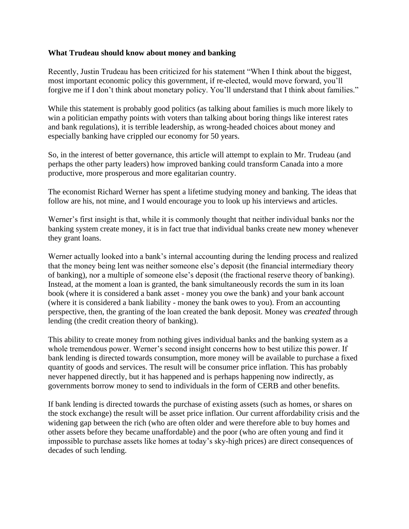## **What Trudeau should know about money and banking**

Recently, Justin Trudeau has been criticized for his statement "When I think about the biggest, most important economic policy this government, if re-elected, would move forward, you'll forgive me if I don't think about monetary policy. You'll understand that I think about families."

While this statement is probably good politics (as talking about families is much more likely to win a politician empathy points with voters than talking about boring things like interest rates and bank regulations), it is terrible leadership, as wrong-headed choices about money and especially banking have crippled our economy for 50 years.

So, in the interest of better governance, this article will attempt to explain to Mr. Trudeau (and perhaps the other party leaders) how improved banking could transform Canada into a more productive, more prosperous and more egalitarian country.

The economist Richard Werner has spent a lifetime studying money and banking. The ideas that follow are his, not mine, and I would encourage you to look up his interviews and articles.

Werner's first insight is that, while it is commonly thought that neither individual banks nor the banking system create money, it is in fact true that individual banks create new money whenever they grant loans.

Werner actually looked into a bank's internal accounting during the lending process and realized that the money being lent was neither someone else's deposit (the financial intermediary theory of banking), nor a multiple of someone else's deposit (the fractional reserve theory of banking). Instead, at the moment a loan is granted, the bank simultaneously records the sum in its loan book (where it is considered a bank asset - money you owe the bank) and your bank account (where it is considered a bank liability - money the bank owes to you). From an accounting perspective, then, the granting of the loan created the bank deposit. Money was *created* through lending (the credit creation theory of banking).

This ability to create money from nothing gives individual banks and the banking system as a whole tremendous power. Werner's second insight concerns how to best utilize this power. If bank lending is directed towards consumption, more money will be available to purchase a fixed quantity of goods and services. The result will be consumer price inflation. This has probably never happened directly, but it has happened and is perhaps happening now indirectly, as governments borrow money to send to individuals in the form of CERB and other benefits.

If bank lending is directed towards the purchase of existing assets (such as homes, or shares on the stock exchange) the result will be asset price inflation. Our current affordability crisis and the widening gap between the rich (who are often older and were therefore able to buy homes and other assets before they became unaffordable) and the poor (who are often young and find it impossible to purchase assets like homes at today's sky-high prices) are direct consequences of decades of such lending.